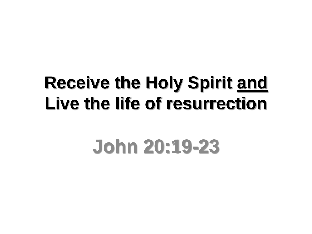## **Receive the Holy Spirit and Live the life of resurrection**

# **John 20:19-23**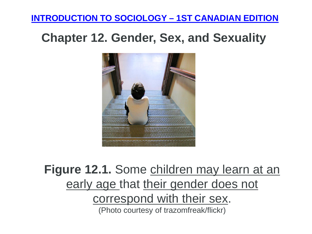#### **[INTRODUCTION TO SOCIOLOGY –](https://opentextbc.ca/introductiontosociology/) 1ST CANADIAN EDITION**

### **Chapter 12. Gender, Sex, and Sexuality**



## **Figure 12.1.** Some children may learn at an early age that their gender does not correspond with their sex. (Photo courtesy of trazomfreak/flickr)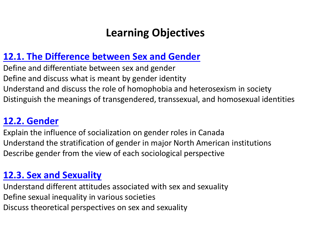### **Learning Objectives**

#### **[12.1. The Difference between Sex and Gender](https://opentextbc.ca/introductiontosociology/chapter/chapter12-gender-sex-and-sexuality/section12.1.)**

Define and differentiate between sex and gender Define and discuss what is meant by gender identity Understand and discuss the role of homophobia and heterosexism in society Distinguish the meanings of transgendered, transsexual, and homosexual identities

### **[12.2. Gender](https://opentextbc.ca/introductiontosociology/chapter/chapter12-gender-sex-and-sexuality/section12.2.)**

Explain the influence of socialization on gender roles in Canada Understand the stratification of gender in major North American institutions Describe gender from the view of each sociological perspective

### **[12.3. Sex and Sexuality](https://opentextbc.ca/introductiontosociology/chapter/chapter12-gender-sex-and-sexuality/section12.3.)**

Understand different attitudes associated with sex and sexuality Define sexual inequality in various societies Discuss theoretical perspectives on sex and sexuality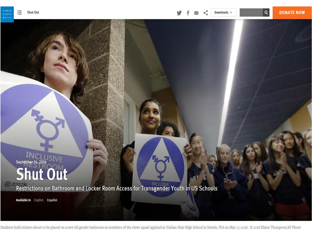**HUMA** 

RIGHTS  $9.11$ 

September 14, 2016 **SIVE** Shut Out

Restrictions on Bathroom and Locker Room Access for Transgender Youth in US Schools

Available In English Español

Students hold stickers about to be placed on a new all-gender bathroom as members of the cheer squad applaud at Nathan Hale High School in Seattle, WA on May 17, 2016. © 2016 Elaine Thompson/AP Photo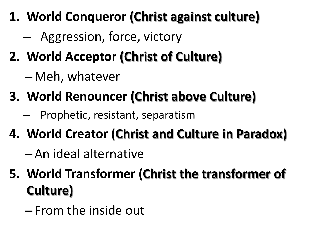- **1. World Conqueror (Christ against culture)**
	- Aggression, force, victory
- **2. World Acceptor (Christ of Culture)** 
	- Meh, whatever
- **3. World Renouncer (Christ above Culture)**
	- Prophetic, resistant, separatism
- **4. World Creator (Christ and Culture in Paradox)**
	- An ideal alternative
- **5. World Transformer (Christ the transformer of Culture)** 
	- From the inside out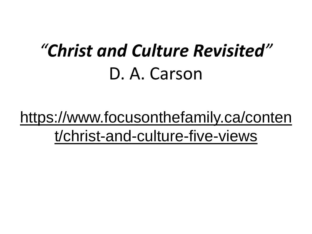# *"Christ and Culture Revisited"* D. A. Carson

## https://www.focusonthefamily.ca/conten t/christ-and-culture-five-views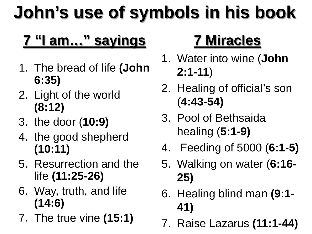# **John's use of symbols in his book**

## **7 "I am…" sayings**

- 1. The bread of life **(John 6:35)**
- 2. Light of the world **(8:12)**
- 3. the door (**10:9)**
- 4. the good shepherd **(10:11)**
- 5. Resurrection and the life **(11:25-26)**
- 6. Way, truth, and life **(14:6)**
- 7. The true vine **(15:1)**

## **7 Miracles**

- 1. Water into wine (**John 2:1-11**)
- 2. Healing of official's son (**4:43-54)**
- 3. Pool of Bethsaida healing (**5:1-9)**
- 4. Feeding of 5000 (**6:1-5)**
- 5. Walking on water (**6:16- 25)**
- 6. Healing blind man **(9:1- 41)**
- 7. Raise Lazarus **(11:1-44)**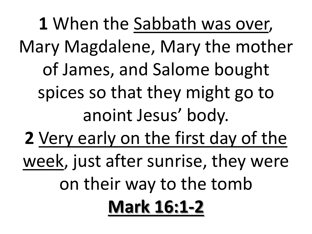**1** When the Sabbath was over, Mary Magdalene, Mary the mother of James, and Salome bought spices so that they might go to anoint Jesus' body. **2** Very early on the first day of the week, just after sunrise, they were on their way to the tomb **Mark 16:1-2**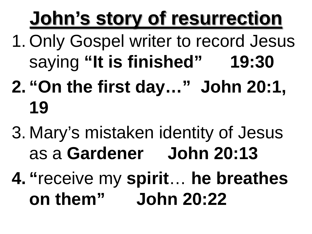# **John's story of resurrection**

- 1. Only Gospel writer to record Jesus saying **"It is finished" 19:30**
- **2. "On the first day…" John 20:1, 19**
- 3. Mary's mistaken identity of Jesus as a **Gardener John 20:13**
- **4. "**receive my **spirit**… **he breathes on them" John 20:22**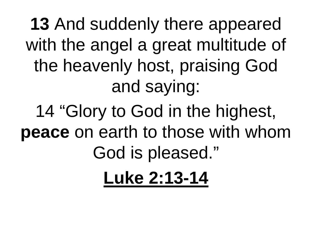**13** And suddenly there appeared with the angel a great multitude of the heavenly host, praising God and saying:

14 "Glory to God in the highest, **peace** on earth to those with whom God is pleased." **Luke 2:13-14**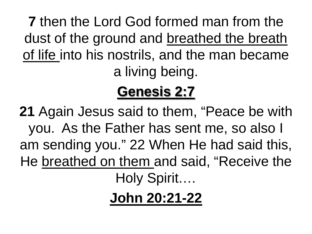**7** then the Lord God formed man from the dust of the ground and breathed the breath of life into his nostrils, and the man became a living being.

## **Genesis 2:7**

**21** Again Jesus said to them, "Peace be with you. As the Father has sent me, so also I am sending you." 22 When He had said this, He breathed on them and said, "Receive the Holy Spirit.…

**John 20:21-22**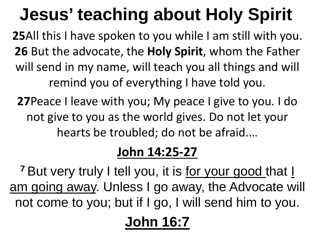# **Jesus' teaching about Holy Spirit**

**25**All this I have spoken to you while I am still with you. **26** But the advocate, the **Holy Spirit**, whom the Father will send in my name, will teach you all things and will remind you of everything I have told you.

**27**Peace I leave with you; My peace I give to you. I do not give to you as the world gives. Do not let your hearts be troubled; do not be afraid.…

### **John 14:25-27**

<sup>7</sup> But very truly I tell you, it is for your good that I am going away. Unless I go away, the Advocate will not come to you; but if I go, I will send him to you.

## **John 16:7**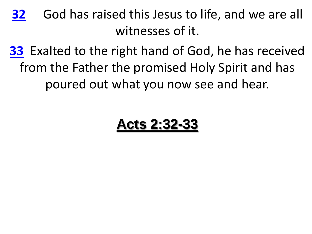**[32](http://biblehub.com/acts/2-32.htm)** God has raised this Jesus to life, and we are all witnesses of it.

**[33](http://biblehub.com/acts/2-33.htm)** Exalted to the right hand of God, he has received from the Father the promised Holy Spirit and has poured out what you now see and hear.

### **Acts 2:32-33**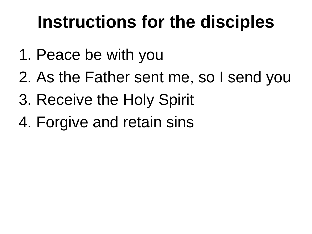# **Instructions for the disciples**

- 1. Peace be with you
- 2. As the Father sent me, so I send you
- 3. Receive the Holy Spirit
- 4. Forgive and retain sins